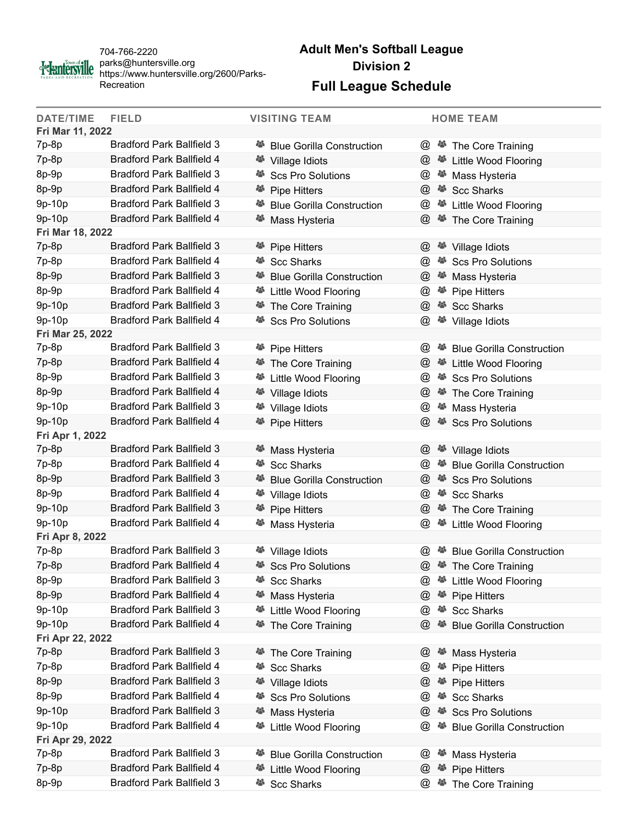

704-766-2220 parks@huntersville.org https://www.huntersville.org/2600/Parks-Recreation

## **Adult Men's Softball League Division 2**

## **Full League Schedule**

| <b>DATE/TIME</b> | <b>FIELD</b>                     | <b>VISITING TEAM</b>                    | <b>HOME TEAM</b>                                                |  |  |  |
|------------------|----------------------------------|-----------------------------------------|-----------------------------------------------------------------|--|--|--|
| Fri Mar 11, 2022 |                                  |                                         |                                                                 |  |  |  |
| 7p-8p            | <b>Bradford Park Ballfield 3</b> | <sup>25</sup> Blue Gorilla Construction | $^{\omega}$<br><sup>25</sup> The Core Training                  |  |  |  |
| 7p-8p            | <b>Bradford Park Ballfield 4</b> | <b><sup>26</sup></b> Village Idiots     | $^{\textregistered}$<br><sup>25</sup> Little Wood Flooring      |  |  |  |
| 8p-9p            | <b>Bradford Park Ballfield 3</b> | <b>Scs Pro Solutions</b>                | @<br><sup>25</sup> Mass Hysteria                                |  |  |  |
| 8p-9p            | <b>Bradford Park Ballfield 4</b> | <sup>25</sup> Pipe Hitters              | @<br><sup>25</sup> Scc Sharks                                   |  |  |  |
| 9p-10p           | <b>Bradford Park Ballfield 3</b> | <b>Blue Gorilla Construction</b>        | @<br><sup>25</sup> Little Wood Flooring                         |  |  |  |
| 9p-10p           | <b>Bradford Park Ballfield 4</b> | Mass Hysteria                           | $^{\textregistered}$<br><sup>25</sup> The Core Training         |  |  |  |
| Fri Mar 18, 2022 |                                  |                                         |                                                                 |  |  |  |
| 7p-8p            | <b>Bradford Park Ballfield 3</b> | <sup>卷</sup> Pipe Hitters               | $\omega$<br><sup>25</sup> Village Idiots                        |  |  |  |
| 7p-8p            | <b>Bradford Park Ballfield 4</b> | <b>Scc Sharks</b>                       | @<br><sup>25</sup> Scs Pro Solutions                            |  |  |  |
| 8p-9p            | <b>Bradford Park Ballfield 3</b> | <b>Blue Gorilla Construction</b>        | $\omega$<br><sup>25</sup> Mass Hysteria                         |  |  |  |
| 8p-9p            | <b>Bradford Park Ballfield 4</b> | Little Wood Flooring                    | @<br><sup>26</sup> Pipe Hitters                                 |  |  |  |
| 9p-10p           | <b>Bradford Park Ballfield 3</b> | <sup>28</sup> The Core Training         | @<br><sup>25</sup> Scc Sharks                                   |  |  |  |
| 9p-10p           | <b>Bradford Park Ballfield 4</b> | <b>Scs Pro Solutions</b>                | @<br><sup>卷</sup> Village Idiots                                |  |  |  |
| Fri Mar 25, 2022 |                                  |                                         |                                                                 |  |  |  |
| 7p-8p            | <b>Bradford Park Ballfield 3</b> | <sup>卷</sup> Pipe Hitters               | <b>Blue Gorilla Construction</b><br>$\omega$<br>43              |  |  |  |
| 7p-8p            | <b>Bradford Park Ballfield 4</b> | <sup>25</sup> The Core Training         | $^{\textregistered}$<br><sup>25</sup> Little Wood Flooring      |  |  |  |
| 8p-9p            | <b>Bradford Park Ballfield 3</b> | <sup>25</sup> Little Wood Flooring      | $^{\circ}$<br><sup>25</sup> Scs Pro Solutions                   |  |  |  |
| 8p-9p            | <b>Bradford Park Ballfield 4</b> | <sup>卷</sup> Village Idiots             | @<br><sup>25</sup> The Core Training                            |  |  |  |
| 9p-10p           | <b>Bradford Park Ballfield 3</b> | <b><sup>25</sup></b> Village Idiots     | @<br><sup>25</sup> Mass Hysteria                                |  |  |  |
| 9p-10p           | <b>Bradford Park Ballfield 4</b> | <sup>举</sup> Pipe Hitters               | $\omega$<br>45<br><b>Scs Pro Solutions</b>                      |  |  |  |
| Fri Apr 1, 2022  |                                  |                                         |                                                                 |  |  |  |
| 7p-8p            | <b>Bradford Park Ballfield 3</b> | Mass Hysteria                           | $^{\textregistered}$<br><b><sup>26</sup></b> Village Idiots     |  |  |  |
| 7p-8p            | <b>Bradford Park Ballfield 4</b> | <sup>誉</sup> Scc Sharks                 | $^{\textregistered}$<br><sup>25</sup> Blue Gorilla Construction |  |  |  |
| 8p-9p            | <b>Bradford Park Ballfield 3</b> | <b>Blue Gorilla Construction</b>        | $^{\textregistered}$<br>Scs Pro Solutions                       |  |  |  |
| 8p-9p            | <b>Bradford Park Ballfield 4</b> | <sup>28</sup> Village Idiots            | @<br><sup>25</sup> Scc Sharks                                   |  |  |  |
| 9p-10p           | <b>Bradford Park Ballfield 3</b> | <sup>卷</sup> Pipe Hitters               | $^{\textregistered}$<br><sup>25</sup> The Core Training         |  |  |  |
| 9p-10p           | <b>Bradford Park Ballfield 4</b> | Mass Hysteria                           | @<br><sup>25</sup> Little Wood Flooring                         |  |  |  |
| Fri Apr 8, 2022  |                                  |                                         |                                                                 |  |  |  |
| 7p-8p            | <b>Bradford Park Ballfield 3</b> | <sup>卷</sup> Village Idiots             | $\omega$<br><sup>25</sup> Blue Gorilla Construction             |  |  |  |
| 7p-8p            | <b>Bradford Park Ballfield 4</b> | <sup>25</sup> Scs Pro Solutions         | $^{\textregistered}$<br><sup>25</sup> The Core Training         |  |  |  |
| 8p-9p            | <b>Bradford Park Ballfield 3</b> | <b>Scc Sharks</b>                       | 45<br>Little Wood Flooring<br>$\omega$                          |  |  |  |
| 8p-9p            | <b>Bradford Park Ballfield 4</b> | 43<br>Mass Hysteria                     | @<br>45<br><b>Pipe Hitters</b>                                  |  |  |  |
| 9p-10p           | <b>Bradford Park Ballfield 3</b> | 45<br><b>Little Wood Flooring</b>       | $\omega$<br>48<br><b>Scc Sharks</b>                             |  |  |  |
| 9p-10p           | <b>Bradford Park Ballfield 4</b> | The Core Training                       | $^{\textregistered}$<br>43<br><b>Blue Gorilla Construction</b>  |  |  |  |
| Fri Apr 22, 2022 |                                  |                                         |                                                                 |  |  |  |
| 7p-8p            | <b>Bradford Park Ballfield 3</b> | The Core Training<br>œ,                 | $\omega$<br>-85<br>Mass Hysteria                                |  |  |  |
| $7p-8p$          | <b>Bradford Park Ballfield 4</b> | <b>Scc Sharks</b>                       | $^{\textregistered}$<br>43<br><b>Pipe Hitters</b>               |  |  |  |
| 8p-9p            | <b>Bradford Park Ballfield 3</b> | 43<br>Village Idiots                    | $^{\textregistered}$<br>43<br><b>Pipe Hitters</b>               |  |  |  |
| 8p-9p            | <b>Bradford Park Ballfield 4</b> | <b>Scs Pro Solutions</b><br>43          | <b>Scc Sharks</b><br>$\omega$<br>43                             |  |  |  |
| 9p-10p           | <b>Bradford Park Ballfield 3</b> | Mass Hysteria<br>45                     | $^{\textregistered}$<br><b>Scs Pro Solutions</b><br>43          |  |  |  |
| 9p-10p           | <b>Bradford Park Ballfield 4</b> | 45<br><b>Little Wood Flooring</b>       | @<br>43<br><b>Blue Gorilla Construction</b>                     |  |  |  |
| Fri Apr 29, 2022 |                                  |                                         |                                                                 |  |  |  |
| 7p-8p            | <b>Bradford Park Ballfield 3</b> | <b>Blue Gorilla Construction</b>        | $\omega$<br>ي<br>Mass Hysteria                                  |  |  |  |
| 7p-8p            | <b>Bradford Park Ballfield 4</b> | 43<br>Little Wood Flooring              | $^{\circledR}$<br>43<br><b>Pipe Hitters</b>                     |  |  |  |
| 8p-9p            | <b>Bradford Park Ballfield 3</b> | 45<br><b>Scc Sharks</b>                 | $^{\textregistered}$<br>The Core Training<br>45                 |  |  |  |
|                  |                                  |                                         |                                                                 |  |  |  |